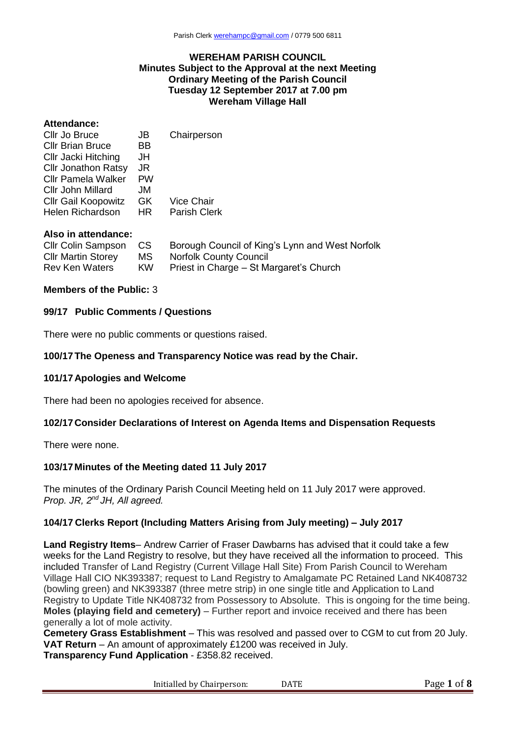#### **WEREHAM PARISH COUNCIL Minutes Subject to the Approval at the next Meeting Ordinary Meeting of the Parish Council Tuesday 12 September 2017 at 7.00 pm Wereham Village Hall**

#### **Attendance:**

| Cllr Jo Bruce              | JB        | Chairperson         |
|----------------------------|-----------|---------------------|
| <b>Cllr Brian Bruce</b>    | BB.       |                     |
| Cllr Jacki Hitching        | JH        |                     |
| <b>Cllr Jonathon Ratsy</b> | JR        |                     |
| <b>Cllr Pamela Walker</b>  | <b>PW</b> |                     |
| Cllr John Millard          | JM        |                     |
| <b>CIIr Gail Koopowitz</b> | GK.       | <b>Vice Chair</b>   |
| Helen Richardson           | HR.       | <b>Parish Clerk</b> |
|                            |           |                     |
|                            |           |                     |

# **Also in attendance:**

| <b>CIIr Colin Sampson</b> | CS . | Borough Council of King's Lynn and West Norfolk |
|---------------------------|------|-------------------------------------------------|
| <b>CIIr Martin Storey</b> | MS   | <b>Norfolk County Council</b>                   |
| <b>Rev Ken Waters</b>     | KW.  | Priest in Charge – St Margaret's Church         |

#### **Members of the Public:** 3

#### **99/17 Public Comments / Questions**

There were no public comments or questions raised.

#### **100/17The Openess and Transparency Notice was read by the Chair.**

#### **101/17 Apologies and Welcome**

There had been no apologies received for absence.

#### **102/17 Consider Declarations of Interest on Agenda Items and Dispensation Requests**

There were none.

#### **103/17Minutes of the Meeting dated 11 July 2017**

The minutes of the Ordinary Parish Council Meeting held on 11 July 2017 were approved. *Prop. JR, 2nd JH, All agreed.*

### **104/17 Clerks Report (Including Matters Arising from July meeting) – July 2017**

**Land Registry Items**– Andrew Carrier of Fraser Dawbarns has advised that it could take a few weeks for the Land Registry to resolve, but they have received all the information to proceed. This included Transfer of Land Registry (Current Village Hall Site) From Parish Council to Wereham Village Hall CIO NK393387; request to Land Registry to Amalgamate PC Retained Land NK408732 (bowling green) and NK393387 (three metre strip) in one single title and Application to Land Registry to Update Title NK408732 from Possessory to Absolute. This is ongoing for the time being. **Moles (playing field and cemetery)** – Further report and invoice received and there has been generally a lot of mole activity.

**Cemetery Grass Establishment** – This was resolved and passed over to CGM to cut from 20 July. **VAT Return** – An amount of approximately £1200 was received in July. **Transparency Fund Application** - £358.82 received.

Initialled by Chairperson: DATE Page 1 of 8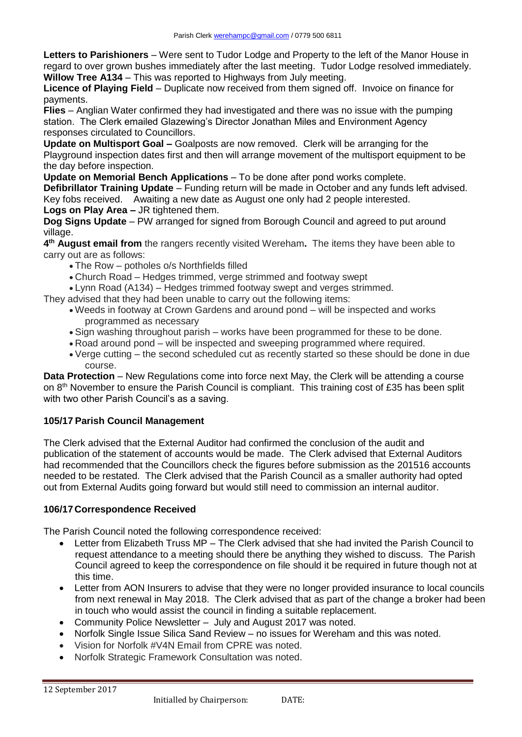**Letters to Parishioners** – Were sent to Tudor Lodge and Property to the left of the Manor House in regard to over grown bushes immediately after the last meeting. Tudor Lodge resolved immediately. **Willow Tree A134** – This was reported to Highways from July meeting.

**Licence of Playing Field** – Duplicate now received from them signed off. Invoice on finance for payments.

**Flies** – Anglian Water confirmed they had investigated and there was no issue with the pumping station. The Clerk emailed Glazewing's Director Jonathan Miles and Environment Agency responses circulated to Councillors.

**Update on Multisport Goal –** Goalposts are now removed. Clerk will be arranging for the Playground inspection dates first and then will arrange movement of the multisport equipment to be the day before inspection.

**Update on Memorial Bench Applications** – To be done after pond works complete.

**Defibrillator Training Update** – Funding return will be made in October and any funds left advised. Key fobs received. Awaiting a new date as August one only had 2 people interested. **Logs on Play Area –** JR tightened them.

**Dog Signs Update** – PW arranged for signed from Borough Council and agreed to put around village.

**4 th August email from** the rangers recently visited Wereham**.** The items they have been able to carry out are as follows:

- The Row potholes o/s Northfields filled
- Church Road Hedges trimmed, verge strimmed and footway swept
- Lynn Road (A134) Hedges trimmed footway swept and verges strimmed.

They advised that they had been unable to carry out the following items:

- Weeds in footway at Crown Gardens and around pond will be inspected and works programmed as necessary
- Sign washing throughout parish works have been programmed for these to be done.
- Road around pond will be inspected and sweeping programmed where required.
- Verge cutting the second scheduled cut as recently started so these should be done in due course.

**Data Protection** – New Regulations come into force next May, the Clerk will be attending a course on 8<sup>th</sup> November to ensure the Parish Council is compliant. This training cost of £35 has been split with two other Parish Council's as a saving.

# **105/17 Parish Council Management**

The Clerk advised that the External Auditor had confirmed the conclusion of the audit and publication of the statement of accounts would be made. The Clerk advised that External Auditors had recommended that the Councillors check the figures before submission as the 201516 accounts needed to be restated. The Clerk advised that the Parish Council as a smaller authority had opted out from External Audits going forward but would still need to commission an internal auditor.

#### **106/17 Correspondence Received**

The Parish Council noted the following correspondence received:

- Letter from Elizabeth Truss MP The Clerk advised that she had invited the Parish Council to request attendance to a meeting should there be anything they wished to discuss. The Parish Council agreed to keep the correspondence on file should it be required in future though not at this time.
- Letter from AON Insurers to advise that they were no longer provided insurance to local councils from next renewal in May 2018. The Clerk advised that as part of the change a broker had been in touch who would assist the council in finding a suitable replacement.
- Community Police Newsletter July and August 2017 was noted.
- Norfolk Single Issue Silica Sand Review no issues for Wereham and this was noted.
- Vision for Norfolk #V4N Email from CPRE was noted.
- Norfolk Strategic Framework Consultation was noted.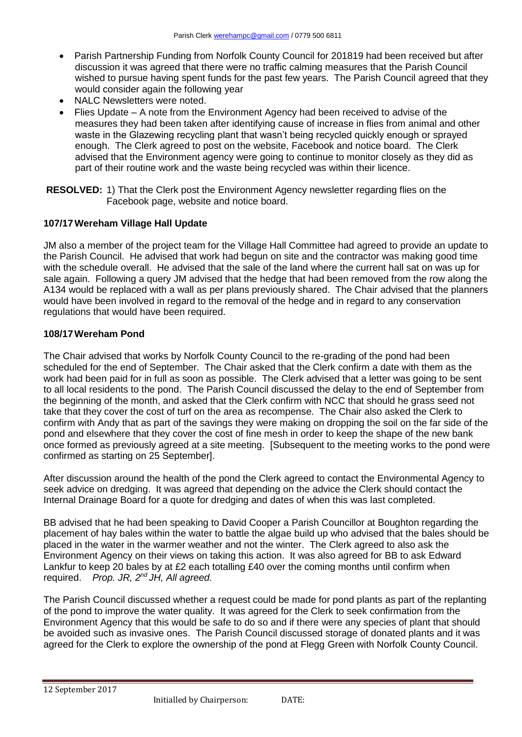- Parish Partnership Funding from Norfolk County Council for 201819 had been received but after discussion it was agreed that there were no traffic calming measures that the Parish Council wished to pursue having spent funds for the past few years. The Parish Council agreed that they would consider again the following year
- NALC Newsletters were noted.
- Flies Update A note from the Environment Agency had been received to advise of the measures they had been taken after identifying cause of increase in flies from animal and other waste in the Glazewing recycling plant that wasn't being recycled quickly enough or sprayed enough. The Clerk agreed to post on the website, Facebook and notice board. The Clerk advised that the Environment agency were going to continue to monitor closely as they did as part of their routine work and the waste being recycled was within their licence.
- **RESOLVED:** 1) That the Clerk post the Environment Agency newsletter regarding flies on the Facebook page, website and notice board.

#### **107/17Wereham Village Hall Update**

JM also a member of the project team for the Village Hall Committee had agreed to provide an update to the Parish Council. He advised that work had begun on site and the contractor was making good time with the schedule overall. He advised that the sale of the land where the current hall sat on was up for sale again. Following a query JM advised that the hedge that had been removed from the row along the A134 would be replaced with a wall as per plans previously shared. The Chair advised that the planners would have been involved in regard to the removal of the hedge and in regard to any conservation regulations that would have been required.

#### **108/17Wereham Pond**

The Chair advised that works by Norfolk County Council to the re-grading of the pond had been scheduled for the end of September. The Chair asked that the Clerk confirm a date with them as the work had been paid for in full as soon as possible. The Clerk advised that a letter was going to be sent to all local residents to the pond. The Parish Council discussed the delay to the end of September from the beginning of the month, and asked that the Clerk confirm with NCC that should he grass seed not take that they cover the cost of turf on the area as recompense. The Chair also asked the Clerk to confirm with Andy that as part of the savings they were making on dropping the soil on the far side of the pond and elsewhere that they cover the cost of fine mesh in order to keep the shape of the new bank once formed as previously agreed at a site meeting. [Subsequent to the meeting works to the pond were confirmed as starting on 25 September].

After discussion around the health of the pond the Clerk agreed to contact the Environmental Agency to seek advice on dredging. It was agreed that depending on the advice the Clerk should contact the Internal Drainage Board for a quote for dredging and dates of when this was last completed.

BB advised that he had been speaking to David Cooper a Parish Councillor at Boughton regarding the placement of hay bales within the water to battle the algae build up who advised that the bales should be placed in the water in the warmer weather and not the winter. The Clerk agreed to also ask the Environment Agency on their views on taking this action. It was also agreed for BB to ask Edward Lankfur to keep 20 bales by at £2 each totalling £40 over the coming months until confirm when required. *Prop. JR, 2nd JH, All agreed.*

The Parish Council discussed whether a request could be made for pond plants as part of the replanting of the pond to improve the water quality. It was agreed for the Clerk to seek confirmation from the Environment Agency that this would be safe to do so and if there were any species of plant that should be avoided such as invasive ones. The Parish Council discussed storage of donated plants and it was agreed for the Clerk to explore the ownership of the pond at Flegg Green with Norfolk County Council.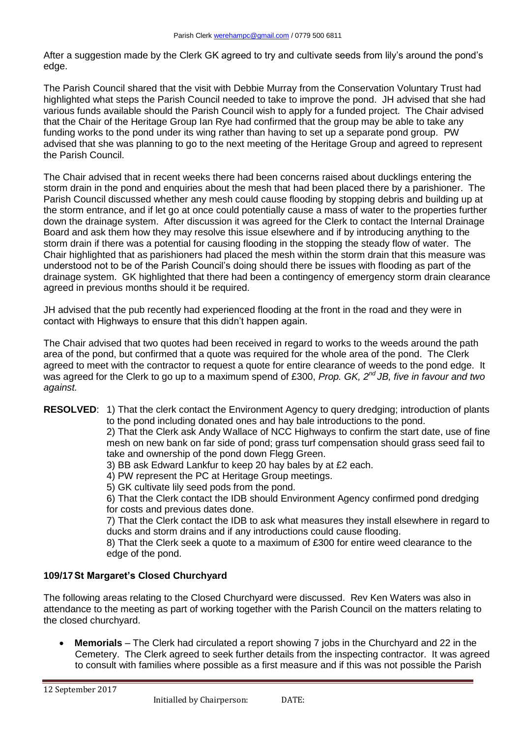After a suggestion made by the Clerk GK agreed to try and cultivate seeds from lily's around the pond's edge.

The Parish Council shared that the visit with Debbie Murray from the Conservation Voluntary Trust had highlighted what steps the Parish Council needed to take to improve the pond. JH advised that she had various funds available should the Parish Council wish to apply for a funded project. The Chair advised that the Chair of the Heritage Group Ian Rye had confirmed that the group may be able to take any funding works to the pond under its wing rather than having to set up a separate pond group. PW advised that she was planning to go to the next meeting of the Heritage Group and agreed to represent the Parish Council.

The Chair advised that in recent weeks there had been concerns raised about ducklings entering the storm drain in the pond and enquiries about the mesh that had been placed there by a parishioner. The Parish Council discussed whether any mesh could cause flooding by stopping debris and building up at the storm entrance, and if let go at once could potentially cause a mass of water to the properties further down the drainage system. After discussion it was agreed for the Clerk to contact the Internal Drainage Board and ask them how they may resolve this issue elsewhere and if by introducing anything to the storm drain if there was a potential for causing flooding in the stopping the steady flow of water. The Chair highlighted that as parishioners had placed the mesh within the storm drain that this measure was understood not to be of the Parish Council's doing should there be issues with flooding as part of the drainage system. GK highlighted that there had been a contingency of emergency storm drain clearance agreed in previous months should it be required.

JH advised that the pub recently had experienced flooding at the front in the road and they were in contact with Highways to ensure that this didn't happen again.

The Chair advised that two quotes had been received in regard to works to the weeds around the path area of the pond, but confirmed that a quote was required for the whole area of the pond. The Clerk agreed to meet with the contractor to request a quote for entire clearance of weeds to the pond edge. It was agreed for the Clerk to go up to a maximum spend of £300, *Prop. GK, 2nd JB, five in favour and two against.*

**RESOLVED**: 1) That the clerk contact the Environment Agency to query dredging; introduction of plants to the pond including donated ones and hay bale introductions to the pond.

2) That the Clerk ask Andy Wallace of NCC Highways to confirm the start date, use of fine mesh on new bank on far side of pond; grass turf compensation should grass seed fail to take and ownership of the pond down Flegg Green.

- 3) BB ask Edward Lankfur to keep 20 hay bales by at £2 each.
- 4) PW represent the PC at Heritage Group meetings.
- 5) GK cultivate lily seed pods from the pond.

6) That the Clerk contact the IDB should Environment Agency confirmed pond dredging for costs and previous dates done.

7) That the Clerk contact the IDB to ask what measures they install elsewhere in regard to ducks and storm drains and if any introductions could cause flooding.

8) That the Clerk seek a quote to a maximum of £300 for entire weed clearance to the edge of the pond.

# **109/17St Margaret's Closed Churchyard**

The following areas relating to the Closed Churchyard were discussed. Rev Ken Waters was also in attendance to the meeting as part of working together with the Parish Council on the matters relating to the closed churchyard.

 **Memorials** – The Clerk had circulated a report showing 7 jobs in the Churchyard and 22 in the Cemetery. The Clerk agreed to seek further details from the inspecting contractor. It was agreed to consult with families where possible as a first measure and if this was not possible the Parish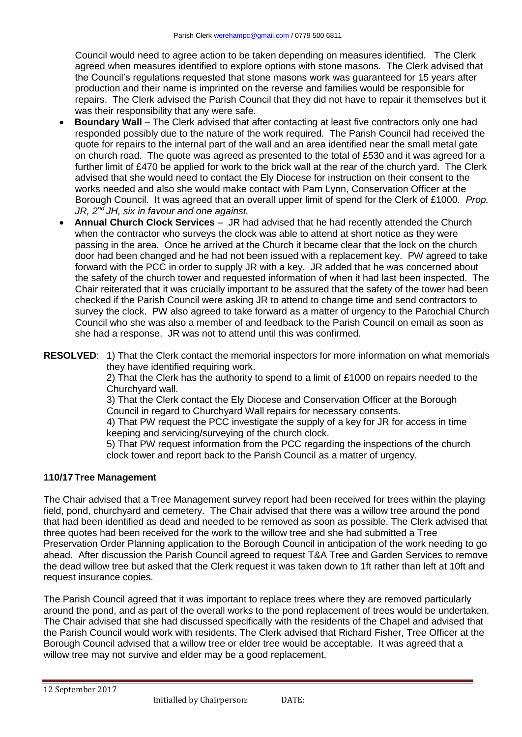Council would need to agree action to be taken depending on measures identified. The Clerk agreed when measures identified to explore options with stone masons. The Clerk advised that the Council's regulations requested that stone masons work was guaranteed for 15 years after production and their name is imprinted on the reverse and families would be responsible for repairs. The Clerk advised the Parish Council that they did not have to repair it themselves but it was their responsibility that any were safe.

- **Boundary Wall** The Clerk advised that after contacting at least five contractors only one had responded possibly due to the nature of the work required. The Parish Council had received the quote for repairs to the internal part of the wall and an area identified near the small metal gate on church road. The quote was agreed as presented to the total of £530 and it was agreed for a further limit of £470 be applied for work to the brick wall at the rear of the church yard. The Clerk advised that she would need to contact the Ely Diocese for instruction on their consent to the works needed and also she would make contact with Pam Lynn, Conservation Officer at the Borough Council. It was agreed that an overall upper limit of spend for the Clerk of £1000. *Prop. JR, 2nd JH, six in favour and one against.*
- **Annual Church Clock Services**  JR had advised that he had recently attended the Church when the contractor who surveys the clock was able to attend at short notice as they were passing in the area. Once he arrived at the Church it became clear that the lock on the church door had been changed and he had not been issued with a replacement key. PW agreed to take forward with the PCC in order to supply JR with a key. JR added that he was concerned about the safety of the church tower and requested information of when it had last been inspected. The Chair reiterated that it was crucially important to be assured that the safety of the tower had been checked if the Parish Council were asking JR to attend to change time and send contractors to survey the clock. PW also agreed to take forward as a matter of urgency to the Parochial Church Council who she was also a member of and feedback to the Parish Council on email as soon as she had a response. JR was not to attend until this was confirmed.
- **RESOLVED**: 1) That the Clerk contact the memorial inspectors for more information on what memorials they have identified requiring work.

2) That the Clerk has the authority to spend to a limit of £1000 on repairs needed to the Churchyard wall.

3) That the Clerk contact the Ely Diocese and Conservation Officer at the Borough Council in regard to Churchyard Wall repairs for necessary consents.

4) That PW request the PCC investigate the supply of a key for JR for access in time keeping and servicing/surveying of the church clock.

5) That PW request information from the PCC regarding the inspections of the church clock tower and report back to the Parish Council as a matter of urgency.

# **110/17Tree Management**

The Chair advised that a Tree Management survey report had been received for trees within the playing field, pond, churchyard and cemetery. The Chair advised that there was a willow tree around the pond that had been identified as dead and needed to be removed as soon as possible. The Clerk advised that three quotes had been received for the work to the willow tree and she had submitted a Tree Preservation Order Planning application to the Borough Council in anticipation of the work needing to go ahead. After discussion the Parish Council agreed to request T&A Tree and Garden Services to remove the dead willow tree but asked that the Clerk request it was taken down to 1ft rather than left at 10ft and request insurance copies.

The Parish Council agreed that it was important to replace trees where they are removed particularly around the pond, and as part of the overall works to the pond replacement of trees would be undertaken. The Chair advised that she had discussed specifically with the residents of the Chapel and advised that the Parish Council would work with residents. The Clerk advised that Richard Fisher, Tree Officer at the Borough Council advised that a willow tree or elder tree would be acceptable. It was agreed that a willow tree may not survive and elder may be a good replacement.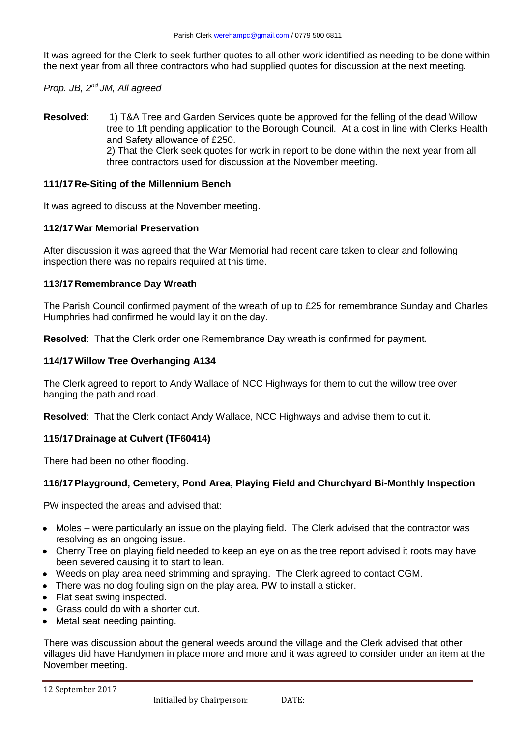It was agreed for the Clerk to seek further quotes to all other work identified as needing to be done within the next year from all three contractors who had supplied quotes for discussion at the next meeting.

*Prop. JB, 2nd JM, All agreed*

**Resolved**: 1) T&A Tree and Garden Services quote be approved for the felling of the dead Willow tree to 1ft pending application to the Borough Council. At a cost in line with Clerks Health and Safety allowance of £250. 2) That the Clerk seek quotes for work in report to be done within the next year from all three contractors used for discussion at the November meeting.

### **111/17 Re-Siting of the Millennium Bench**

It was agreed to discuss at the November meeting.

#### **112/17War Memorial Preservation**

After discussion it was agreed that the War Memorial had recent care taken to clear and following inspection there was no repairs required at this time.

### **113/17 Remembrance Day Wreath**

The Parish Council confirmed payment of the wreath of up to £25 for remembrance Sunday and Charles Humphries had confirmed he would lay it on the day.

**Resolved**: That the Clerk order one Remembrance Day wreath is confirmed for payment.

#### **114/17Willow Tree Overhanging A134**

The Clerk agreed to report to Andy Wallace of NCC Highways for them to cut the willow tree over hanging the path and road.

**Resolved**: That the Clerk contact Andy Wallace, NCC Highways and advise them to cut it.

# **115/17 Drainage at Culvert (TF60414)**

There had been no other flooding.

# **116/17Playground, Cemetery, Pond Area, Playing Field and Churchyard Bi-Monthly Inspection**

PW inspected the areas and advised that:

- Moles were particularly an issue on the playing field. The Clerk advised that the contractor was resolving as an ongoing issue.
- Cherry Tree on playing field needed to keep an eye on as the tree report advised it roots may have been severed causing it to start to lean.
- Weeds on play area need strimming and spraying. The Clerk agreed to contact CGM.
- There was no dog fouling sign on the play area. PW to install a sticker.
- Flat seat swing inspected.
- Grass could do with a shorter cut.
- Metal seat needing painting.

There was discussion about the general weeds around the village and the Clerk advised that other villages did have Handymen in place more and more and it was agreed to consider under an item at the November meeting.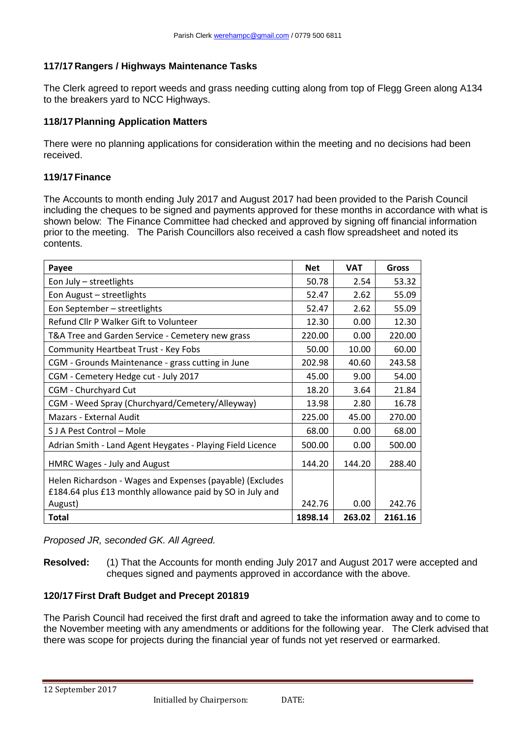### **117/17 Rangers / Highways Maintenance Tasks**

The Clerk agreed to report weeds and grass needing cutting along from top of Flegg Green along A134 to the breakers yard to NCC Highways.

### **118/17Planning Application Matters**

There were no planning applications for consideration within the meeting and no decisions had been received.

#### **119/17Finance**

The Accounts to month ending July 2017 and August 2017 had been provided to the Parish Council including the cheques to be signed and payments approved for these months in accordance with what is shown below: The Finance Committee had checked and approved by signing off financial information prior to the meeting. The Parish Councillors also received a cash flow spreadsheet and noted its contents.

| Payee                                                                                                                  | <b>Net</b> | <b>VAT</b> | Gross   |
|------------------------------------------------------------------------------------------------------------------------|------------|------------|---------|
| Eon July - streetlights                                                                                                | 50.78      | 2.54       | 53.32   |
| Eon August - streetlights                                                                                              | 52.47      | 2.62       | 55.09   |
| Eon September - streetlights                                                                                           | 52.47      | 2.62       | 55.09   |
| Refund Cllr P Walker Gift to Volunteer                                                                                 | 12.30      | 0.00       | 12.30   |
| T&A Tree and Garden Service - Cemetery new grass                                                                       | 220.00     | 0.00       | 220.00  |
| <b>Community Heartbeat Trust - Key Fobs</b>                                                                            | 50.00      | 10.00      | 60.00   |
| CGM - Grounds Maintenance - grass cutting in June                                                                      | 202.98     | 40.60      | 243.58  |
| CGM - Cemetery Hedge cut - July 2017                                                                                   | 45.00      | 9.00       | 54.00   |
| CGM - Churchyard Cut                                                                                                   | 18.20      | 3.64       | 21.84   |
| CGM - Weed Spray (Churchyard/Cemetery/Alleyway)                                                                        | 13.98      | 2.80       | 16.78   |
| Mazars - External Audit                                                                                                | 225.00     | 45.00      | 270.00  |
| S J A Pest Control – Mole                                                                                              | 68.00      | 0.00       | 68.00   |
| Adrian Smith - Land Agent Heygates - Playing Field Licence                                                             | 500.00     | 0.00       | 500.00  |
| HMRC Wages - July and August                                                                                           | 144.20     | 144.20     | 288.40  |
| Helen Richardson - Wages and Expenses (payable) (Excludes<br>£184.64 plus £13 monthly allowance paid by SO in July and |            |            |         |
| August)                                                                                                                | 242.76     | 0.00       | 242.76  |
| Total                                                                                                                  | 1898.14    | 263.02     | 2161.16 |

*Proposed JR, seconded GK. All Agreed.*

**Resolved:** (1) That the Accounts for month ending July 2017 and August 2017 were accepted and cheques signed and payments approved in accordance with the above.

#### **120/17First Draft Budget and Precept 201819**

The Parish Council had received the first draft and agreed to take the information away and to come to the November meeting with any amendments or additions for the following year. The Clerk advised that there was scope for projects during the financial year of funds not yet reserved or earmarked.